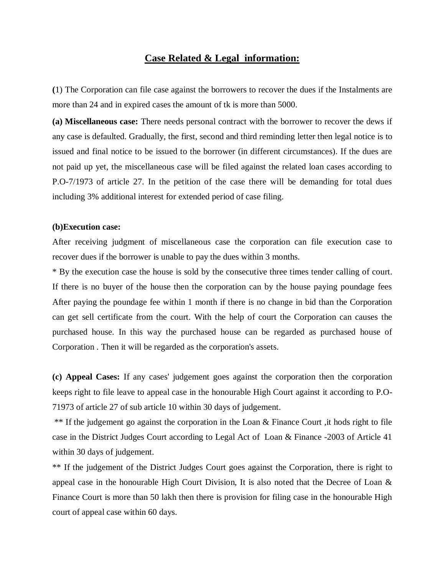## **Case Related & Legal information:**

**(**1) The Corporation can file case against the borrowers to recover the dues if the Instalments are more than 24 and in expired cases the amount of tk is more than 5000.

**(a) Miscellaneous case:** There needs personal contract with the borrower to recover the dews if any case is defaulted. Gradually, the first, second and third reminding letter then legal notice is to issued and final notice to be issued to the borrower (in different circumstances). If the dues are not paid up yet, the miscellaneous case will be filed against the related loan cases according to P.O-7/1973 of article 27. In the petition of the case there will be demanding for total dues including 3% additional interest for extended period of case filing.

## **(b)Execution case:**

After receiving judgment of miscellaneous case the corporation can file execution case to recover dues if the borrower is unable to pay the dues within 3 months.

\* By the execution case the house is sold by the consecutive three times tender calling of court. If there is no buyer of the house then the corporation can by the house paying poundage fees After paying the poundage fee within 1 month if there is no change in bid than the Corporation can get sell certificate from the court. With the help of court the Corporation can causes the purchased house. In this way the purchased house can be regarded as purchased house of Corporation . Then it will be regarded as the corporation's assets.

**(c) Appeal Cases:** If any cases' judgement goes against the corporation then the corporation keeps right to file leave to appeal case in the honourable High Court against it according to P.O-71973 of article 27 of sub article 10 within 30 days of judgement.

\*\* If the judgement go against the corporation in the Loan & Finance Court ,it hods right to file case in the District Judges Court according to Legal Act of Loan & Finance -2003 of Article 41 within 30 days of judgement.

\*\* If the judgement of the District Judges Court goes against the Corporation, there is right to appeal case in the honourable High Court Division, It is also noted that the Decree of Loan  $\&$ Finance Court is more than 50 lakh then there is provision for filing case in the honourable High court of appeal case within 60 days.